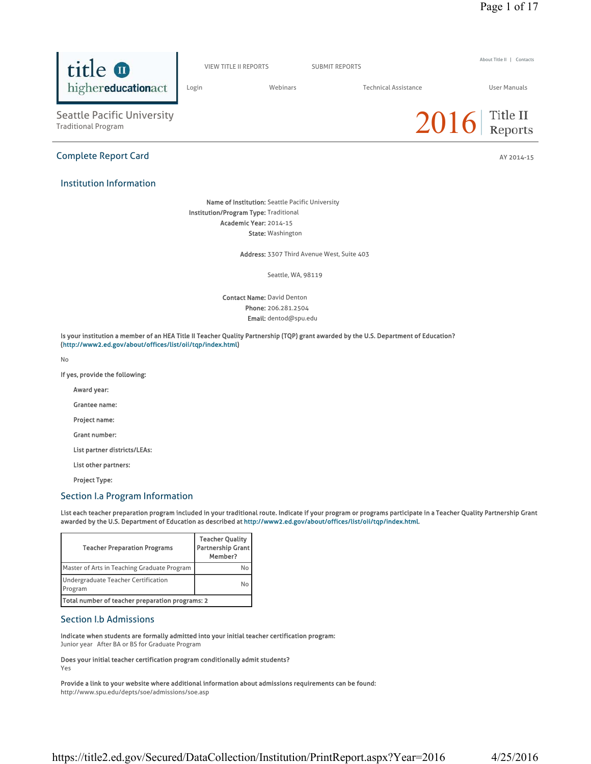

Phone: 206.281.2504 Email: dentod@spu.edu

Is your institution a member of an HEA Title II Teacher Quality Partnership (TQP) grant awarded by the U.S. Department of Education? (http://www2.ed.gov/about/offices/list/oii/tqp/index.html)

No

If yes, provide the following:

Award year:

Grantee name:

Project name:

Grant number:

List partner districts/LEAs:

List other partners:

Project Type:

### Section I.a Program Information

List each teacher preparation program included in your traditional route. Indicate if your program or programs participate in a Teacher Quality Partnership Grant awarded by the U.S. Department of Education as described at http://www2.ed.gov/about/offices/list/oii/tqp/index.html.

| <b>Teacher Preparation Programs</b>             | <b>Teacher Quality</b><br><b>Partnership Grant</b><br>Member? |
|-------------------------------------------------|---------------------------------------------------------------|
| Master of Arts in Teaching Graduate Program     | No                                                            |
| Undergraduate Teacher Certification<br>Program  | No                                                            |
| Total number of teacher preparation programs: 2 |                                                               |

## Section I.b Admissions

Indicate when students are formally admitted into your initial teacher certification program: Junior year After BA or BS for Graduate Program

Does your initial teacher certification program conditionally admit students? Yes

Provide a link to your website where additional information about admissions requirements can be found:

http://www.spu.edu/depts/soe/admissions/soe.asp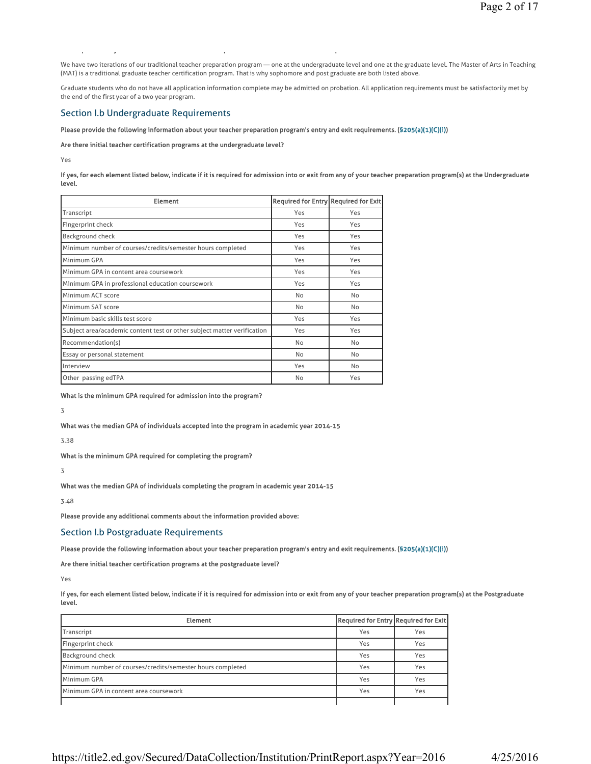We have two iterations of our traditional teacher preparation program — one at the undergraduate level and one at the graduate level. The Master of Arts in Teaching (MAT) is a traditional graduate teacher certification program. That is why sophomore and post graduate are both listed above.

Graduate students who do not have all application information complete may be admitted on probation. All application requirements must be satisfactorily met by the end of the first year of a two year program.

### Section I.b Undergraduate Requirements

#### Please provide the following information about your teacher preparation program's entry and exit requirements. (§205(a)(1)(C)(i))

Are there initial teacher certification programs at the undergraduate level?

py pyramid and pyramid and pyramid and pyramid and pyramid and pyramid and pyramid and pyramid and pyramid and

Yes

If yes, for each element listed below, indicate if it is required for admission into or exit from any of your teacher preparation program(s) at the Undergraduate level.

| <b>Element</b>                                                          | Required for Entry Required for Exit |           |
|-------------------------------------------------------------------------|--------------------------------------|-----------|
| Transcript                                                              | Yes                                  | Yes       |
| Fingerprint check                                                       | Yes                                  | Yes       |
| Background check                                                        | Yes                                  | Yes       |
| Minimum number of courses/credits/semester hours completed              | Yes                                  | Yes       |
| Minimum GPA                                                             | Yes                                  | Yes       |
| Minimum GPA in content area coursework                                  | Yes                                  | Yes       |
| Minimum GPA in professional education coursework                        | Yes                                  | Yes       |
| Minimum ACT score                                                       | No                                   | No        |
| Minimum SAT score                                                       | No                                   | No        |
| Minimum basic skills test score                                         | Yes                                  | Yes       |
| Subject area/academic content test or other subject matter verification | Yes                                  | Yes       |
| Recommendation(s)                                                       | No                                   | No        |
| Essay or personal statement                                             | No                                   | <b>No</b> |
| Interview                                                               | Yes                                  | No        |
| Other passing edTPA                                                     | No                                   | Yes       |

What is the minimum GPA required for admission into the program?

3

What was the median GPA of individuals accepted into the program in academic year 2014-15

3.38

What is the minimum GPA required for completing the program?

3

What was the median GPA of individuals completing the program in academic year 2014-15

3.48

Please provide any additional comments about the information provided above:

Section I.b Postgraduate Requirements

Please provide the following information about your teacher preparation program's entry and exit requirements. (§205(a)(1)(C)(i))

Are there initial teacher certification programs at the postgraduate level?

Yes

If yes, for each element listed below, indicate if it is required for admission into or exit from any of your teacher preparation program(s) at the Postgraduate level.

| <b>Element</b>                                             | Required for Entry Required for Exit |     |
|------------------------------------------------------------|--------------------------------------|-----|
| Transcript                                                 | Yes                                  | Yes |
| Fingerprint check                                          | Yes                                  | Yes |
| <b>Background check</b>                                    | Yes                                  | Yes |
| Minimum number of courses/credits/semester hours completed | Yes                                  | Yes |
| Minimum GPA                                                | Yes                                  | Yes |
| Minimum GPA in content area coursework                     | Yes                                  | Yes |
|                                                            |                                      |     |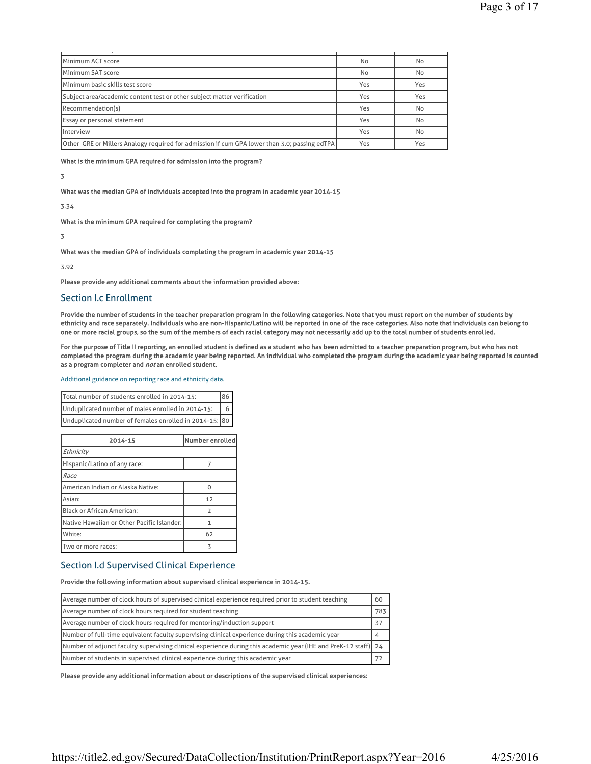| Minimum ACT score                                                                                   | No  | No  |
|-----------------------------------------------------------------------------------------------------|-----|-----|
| Minimum SAT score                                                                                   | No  | No  |
| Minimum basic skills test score                                                                     | Yes | Yes |
| Subject area/academic content test or other subject matter verification                             | Yes | Yes |
| Recommendation(s)                                                                                   | Yes | No  |
| <b>Essay or personal statement</b>                                                                  | Yes | No  |
| Interview                                                                                           | Yes | No  |
| <b>Other GRE or Millers Analogy required for admission if cum GPA lower than 3.0; passing edTPA</b> | Yes | Yes |

What is the minimum GPA required for admission into the program?

### 3

What was the median GPA of individuals accepted into the program in academic year 2014-15

## 3.34

What is the minimum GPA required for completing the program?

### 3

What was the median GPA of individuals completing the program in academic year 2014-15

3.92

Please provide any additional comments about the information provided above:

# Section I.c Enrollment

Provide the number of students in the teacher preparation program in the following categories. Note that you must report on the number of students by ethnicity and race separately. Individuals who are non-Hispanic/Latino will be reported in one of the race categories. Also note that individuals can belong to one or more racial groups, so the sum of the members of each racial category may not necessarily add up to the total number of students enrolled.

For the purpose of Title II reporting, an enrolled student is defined as a student who has been admitted to a teacher preparation program, but who has not completed the program during the academic year being reported. An individual who completed the program during the academic year being reported is counted as a program completer and not an enrolled student.

### Additional guidance on reporting race and ethnicity data.

| Total number of students enrolled in 2014-15:          |  |
|--------------------------------------------------------|--|
| Unduplicated number of males enrolled in 2014-15:      |  |
| Unduplicated number of females enrolled in 2014-15: 80 |  |

| 2014-15                                    | Number enrolled |  |
|--------------------------------------------|-----------------|--|
| Ethnicity                                  |                 |  |
| Hispanic/Latino of any race:               | 7               |  |
| Race                                       |                 |  |
| American Indian or Alaska Native:          | O               |  |
| Asian:                                     | 12              |  |
| <b>Black or African American:</b>          | $\mathcal{D}$   |  |
| Native Hawaiian or Other Pacific Islander: |                 |  |
| White:                                     | 62              |  |
| Two or more races:                         |                 |  |

# Section I.d Supervised Clinical Experience

## Provide the following information about supervised clinical experience in 2014-15.

| Average number of clock hours of supervised clinical experience required prior to student teaching             |     |
|----------------------------------------------------------------------------------------------------------------|-----|
| Average number of clock hours required for student teaching                                                    | 783 |
| Average number of clock hours required for mentoring/induction support                                         | 37  |
| Number of full-time equivalent faculty supervising clinical experience during this academic year               |     |
| Number of adjunct faculty supervising clinical experience during this academic year (IHE and PreK-12 staff) 24 |     |
| Number of students in supervised clinical experience during this academic year                                 | 72  |

Please provide any additional information about or descriptions of the supervised clinical experiences: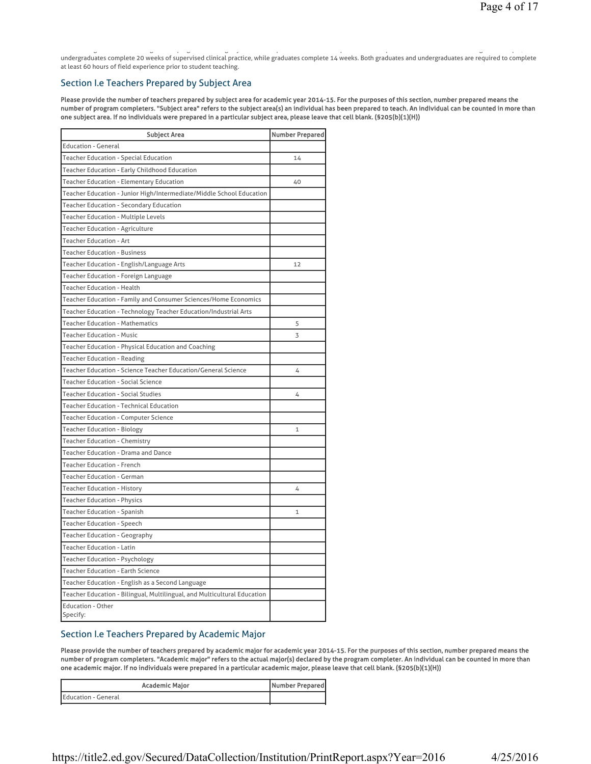g g pg g y q p p g p, undergraduates complete 20 weeks of supervised clinical practice, while graduates complete 14 weeks. Both graduates and undergraduates are required to complete at least 60 hours of field experience prior to student teaching.

## Section I.e Teachers Prepared by Subject Area

Please provide the number of teachers prepared by subject area for academic year 2014-15. For the purposes of this section, number prepared means the number of program completers. "Subject area" refers to the subject area(s) an individual has been prepared to teach. An individual can be counted in more than one subject area. If no individuals were prepared in a particular subject area, please leave that cell blank. (§205(b)(1)(H))

| <b>Subject Area</b>                                                      | <b>Number Prepared</b> |
|--------------------------------------------------------------------------|------------------------|
| <b>Education - General</b>                                               |                        |
| Teacher Education - Special Education                                    | 14                     |
| Teacher Education - Early Childhood Education                            |                        |
| <b>Teacher Education - Elementary Education</b>                          | 40                     |
| Teacher Education - Junior High/Intermediate/Middle School Education     |                        |
| <b>Teacher Education - Secondary Education</b>                           |                        |
| <b>Teacher Education - Multiple Levels</b>                               |                        |
| Teacher Education - Agriculture                                          |                        |
| <b>Teacher Education - Art</b>                                           |                        |
| <b>Teacher Education - Business</b>                                      |                        |
| Teacher Education - English/Language Arts                                | 12                     |
| Teacher Education - Foreign Language                                     |                        |
| <b>Teacher Education - Health</b>                                        |                        |
| Teacher Education - Family and Consumer Sciences/Home Economics          |                        |
| Teacher Education - Technology Teacher Education/Industrial Arts         |                        |
| <b>Teacher Education - Mathematics</b>                                   | 5                      |
| <b>Teacher Education - Music</b>                                         | 3                      |
| Teacher Education - Physical Education and Coaching                      |                        |
| Teacher Education - Reading                                              |                        |
| Teacher Education - Science Teacher Education/General Science            | 4                      |
| <b>Teacher Education - Social Science</b>                                |                        |
| <b>Teacher Education - Social Studies</b>                                | 4                      |
| <b>Teacher Education - Technical Education</b>                           |                        |
| Teacher Education - Computer Science                                     |                        |
| <b>Teacher Education - Biology</b>                                       | $\mathbf{1}$           |
| <b>Teacher Education - Chemistry</b>                                     |                        |
| Teacher Education - Drama and Dance                                      |                        |
| <b>Teacher Education - French</b>                                        |                        |
| <b>Teacher Education - German</b>                                        |                        |
| Teacher Education - History                                              | 4                      |
| <b>Teacher Education - Physics</b>                                       |                        |
| <b>Teacher Education - Spanish</b>                                       | 1                      |
| <b>Teacher Education - Speech</b>                                        |                        |
| Teacher Education - Geography                                            |                        |
| <b>Teacher Education - Latin</b>                                         |                        |
| Teacher Education - Psychology                                           |                        |
| <b>Teacher Education - Earth Science</b>                                 |                        |
| Teacher Education - English as a Second Language                         |                        |
| Teacher Education - Bilingual, Multilingual, and Multicultural Education |                        |
| <b>Education - Other</b><br>Specify:                                     |                        |

## Section I.e Teachers Prepared by Academic Major

Please provide the number of teachers prepared by academic major for academic year 2014-15. For the purposes of this section, number prepared means the number of program completers. "Academic major" refers to the actual major(s) declared by the program completer. An individual can be counted in more than one academic major. If no individuals were prepared in a particular academic major, please leave that cell blank. (§205(b)(1)(H))

| Academic Major      | Number Prepared |
|---------------------|-----------------|
| Education - General |                 |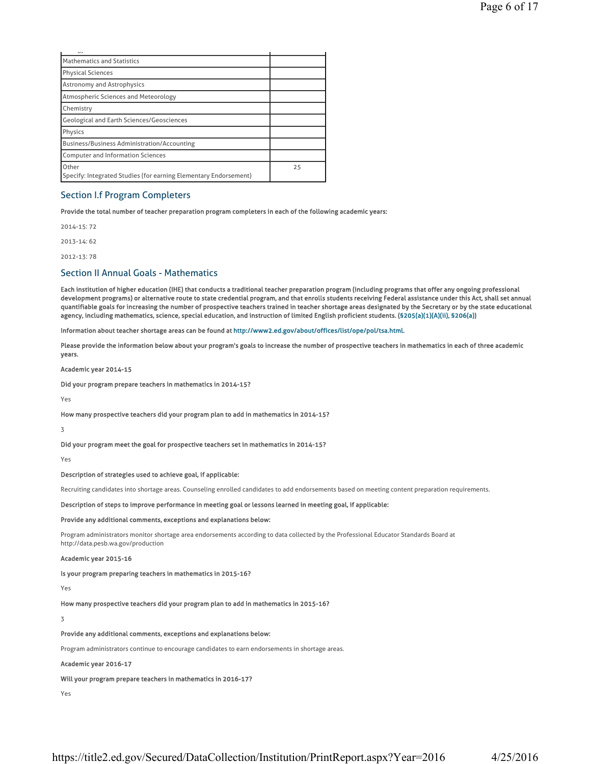| رں                                                                        |    |
|---------------------------------------------------------------------------|----|
| Mathematics and Statistics                                                |    |
| Physical Sciences                                                         |    |
| <b>Astronomy and Astrophysics</b>                                         |    |
| Atmospheric Sciences and Meteorology                                      |    |
| Chemistry                                                                 |    |
| <b>Geological and Earth Sciences/Geosciences</b>                          |    |
| Physics                                                                   |    |
| <b>Business/Business Administration/Accounting</b>                        |    |
| <b>Computer and Information Sciences</b>                                  |    |
| Other<br>Specify: Integrated Studies (for earning Elementary Endorsement) | 25 |

## Section I.f Program Completers

Provide the total number of teacher preparation program completers in each of the following academic years:

2014-15: 72

2013-14: 62

2012-13: 78

## Section II Annual Goals - Mathematics

Each institution of higher education (IHE) that conducts a traditional teacher preparation program (including programs that offer any ongoing professional development programs) or alternative route to state credential program, and that enrolls students receiving Federal assistance under this Act, shall set annual quantifiable goals for increasing the number of prospective teachers trained in teacher shortage areas designated by the Secretary or by the state educational agency, including mathematics, science, special education, and instruction of limited English proficient students. (§205(a)(1)(A)(ii), §206(a))

Information about teacher shortage areas can be found at http://www2.ed.gov/about/offices/list/ope/pol/tsa.html.

Please provide the information below about your program's goals to increase the number of prospective teachers in mathematics in each of three academic years.

Academic year 2014-15

Did your program prepare teachers in mathematics in 2014-15?

Yes

How many prospective teachers did your program plan to add in mathematics in 2014-15?

3

Did your program meet the goal for prospective teachers set in mathematics in 2014-15?

Yes

Description of strategies used to achieve goal, if applicable:

Recruiting candidates into shortage areas. Counseling enrolled candidates to add endorsements based on meeting content preparation requirements.

Description of steps to improve performance in meeting goal or lessons learned in meeting goal, if applicable:

Provide any additional comments, exceptions and explanations below:

Program administrators monitor shortage area endorsements according to data collected by the Professional Educator Standards Board at http://data.pesb.wa.gov/production

#### Academic year 2015-16

Is your program preparing teachers in mathematics in 2015-16?

Yes

How many prospective teachers did your program plan to add in mathematics in 2015-16?

3

Provide any additional comments, exceptions and explanations below:

Program administrators continue to encourage candidates to earn endorsements in shortage areas.

#### Academic year 2016-17

### Will your program prepare teachers in mathematics in 2016-17?

Yes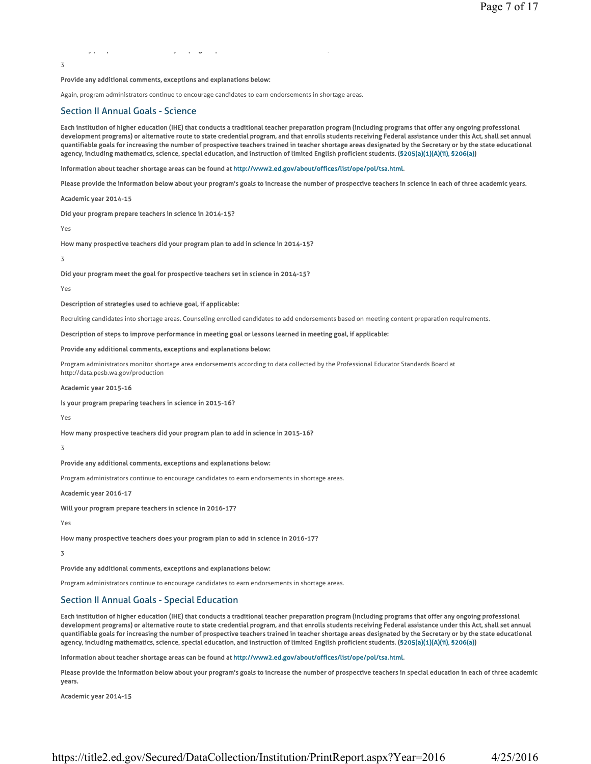yp p y p g p 7

#### Provide any additional comments, exceptions and explanations below:

Again, program administrators continue to encourage candidates to earn endorsements in shortage areas.

### Section II Annual Goals - Science

Each institution of higher education (IHE) that conducts a traditional teacher preparation program (including programs that offer any ongoing professional development programs) or alternative route to state credential program, and that enrolls students receiving Federal assistance under this Act, shall set annual quantifiable goals for increasing the number of prospective teachers trained in teacher shortage areas designated by the Secretary or by the state educational agency, including mathematics, science, special education, and instruction of limited English proficient students. (§205(a)(1)(A)(ii), §206(a))

Information about teacher shortage areas can be found at http://www2.ed.gov/about/offices/list/ope/pol/tsa.html.

Please provide the information below about your program's goals to increase the number of prospective teachers in science in each of three academic years.

Academic year 2014-15

Did your program prepare teachers in science in 2014-15?

Yes

3

How many prospective teachers did your program plan to add in science in 2014-15?

3

Did your program meet the goal for prospective teachers set in science in 2014-15?

Yes

Description of strategies used to achieve goal, if applicable:

Recruiting candidates into shortage areas. Counseling enrolled candidates to add endorsements based on meeting content preparation requirements.

#### Description of steps to improve performance in meeting goal or lessons learned in meeting goal, if applicable:

#### Provide any additional comments, exceptions and explanations below:

Program administrators monitor shortage area endorsements according to data collected by the Professional Educator Standards Board at http://data.pesb.wa.gov/production

#### Academic year 2015-16

Is your program preparing teachers in science in 2015-16?

### Yes

How many prospective teachers did your program plan to add in science in 2015-16?

3

### Provide any additional comments, exceptions and explanations below:

Program administrators continue to encourage candidates to earn endorsements in shortage areas.

### Academic year 2016-17

Will your program prepare teachers in science in 2016-17?

Yes

How many prospective teachers does your program plan to add in science in 2016-17?

3

Provide any additional comments, exceptions and explanations below:

Program administrators continue to encourage candidates to earn endorsements in shortage areas.

# Section II Annual Goals - Special Education

Each institution of higher education (IHE) that conducts a traditional teacher preparation program (including programs that offer any ongoing professional development programs) or alternative route to state credential program, and that enrolls students receiving Federal assistance under this Act, shall set annual quantifiable goals for increasing the number of prospective teachers trained in teacher shortage areas designated by the Secretary or by the state educational agency, including mathematics, science, special education, and instruction of limited English proficient students. (§205(a)(1)(A)(ii), §206(a))

Information about teacher shortage areas can be found at http://www2.ed.gov/about/offices/list/ope/pol/tsa.html.

Please provide the information below about your program's goals to increase the number of prospective teachers in special education in each of three academic years.

Academic year 2014-15

https://title2.ed.gov/Secured/DataCollection/Institution/PrintReport.aspx?Year=2016 4/25/2016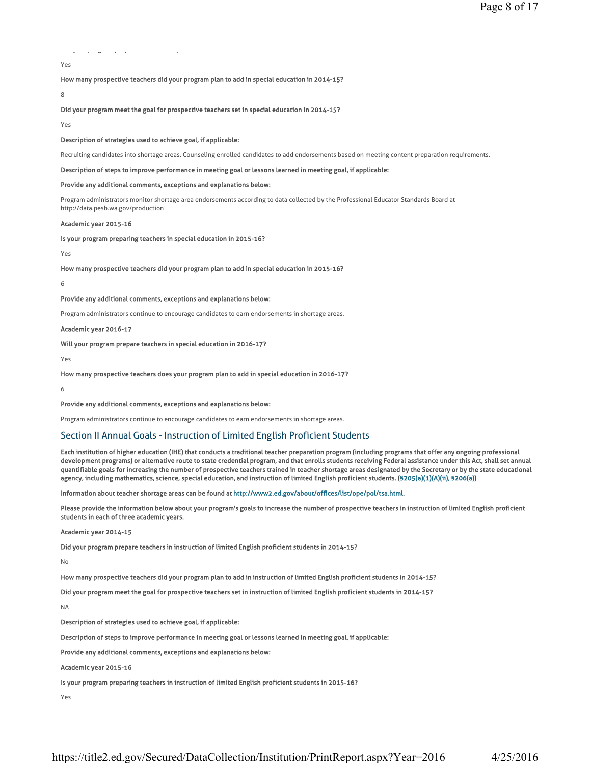# y papel and the second product of the second product of the second product of the second product of the second

## Yes

How many prospective teachers did your program plan to add in special education in 2014-15?

8

Did your program meet the goal for prospective teachers set in special education in 2014-15?

Yes

#### Description of strategies used to achieve goal, if applicable:

Recruiting candidates into shortage areas. Counseling enrolled candidates to add endorsements based on meeting content preparation requirements.

#### Description of steps to improve performance in meeting goal or lessons learned in meeting goal, if applicable:

#### Provide any additional comments, exceptions and explanations below:

Program administrators monitor shortage area endorsements according to data collected by the Professional Educator Standards Board at http://data.pesb.wa.gov/production

#### Academic year 2015-16

Is your program preparing teachers in special education in 2015-16?

## Yes

How many prospective teachers did your program plan to add in special education in 2015-16?

6

#### Provide any additional comments, exceptions and explanations below:

Program administrators continue to encourage candidates to earn endorsements in shortage areas.

### Academic year 2016-17

Will your program prepare teachers in special education in 2016-17?

Yes

#### How many prospective teachers does your program plan to add in special education in 2016-17?

6

#### Provide any additional comments, exceptions and explanations below:

Program administrators continue to encourage candidates to earn endorsements in shortage areas.

### Section II Annual Goals - Instruction of Limited English Proficient Students

Each institution of higher education (IHE) that conducts a traditional teacher preparation program (including programs that offer any ongoing professional development programs) or alternative route to state credential program, and that enrolls students receiving Federal assistance under this Act, shall set annual quantifiable goals for increasing the number of prospective teachers trained in teacher shortage areas designated by the Secretary or by the state educational agency, including mathematics, science, special education, and instruction of limited English proficient students. (§205(a)(1)(A)(ii), §206(a))

Information about teacher shortage areas can be found at http://www2.ed.gov/about/offices/list/ope/pol/tsa.html.

Please provide the information below about your program's goals to increase the number of prospective teachers in instruction of limited English proficient students in each of three academic years.

#### Academic year 2014-15

Did your program prepare teachers in instruction of limited English proficient students in 2014-15?

No

How many prospective teachers did your program plan to add in instruction of limited English proficient students in 2014-15?

Did your program meet the goal for prospective teachers set in instruction of limited English proficient students in 2014-15?

NA

Description of strategies used to achieve goal, if applicable:

Description of steps to improve performance in meeting goal or lessons learned in meeting goal, if applicable:

Provide any additional comments, exceptions and explanations below:

Academic year 2015-16

Is your program preparing teachers in instruction of limited English proficient students in 2015-16?

Yes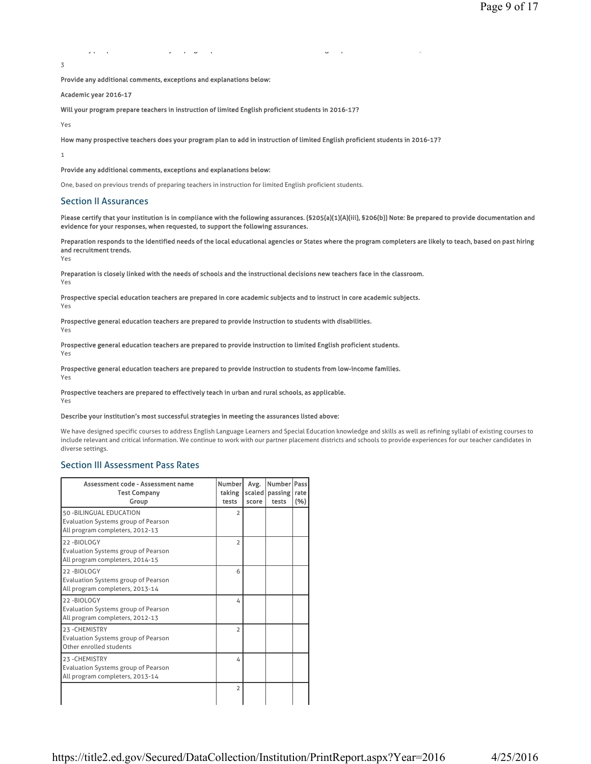yp p y p g p g p 5 3

Provide any additional comments, exceptions and explanations below:

Academic year 2016-17

Will your program prepare teachers in instruction of limited English proficient students in 2016-17?

Yes

How many prospective teachers does your program plan to add in instruction of limited English proficient students in 2016-17?

1

### Provide any additional comments, exceptions and explanations below:

One, based on previous trends of preparing teachers in instruction for limited English proficient students.

## Section II Assurances

Please certify that your institution is in compliance with the following assurances. (§205(a)(1)(A)(iii), §206(b)) Note: Be prepared to provide documentation and evidence for your responses, when requested, to support the following assurances.

Preparation responds to the identified needs of the local educational agencies or States where the program completers are likely to teach, based on past hiring and recruitment trends.

Yes

Preparation is closely linked with the needs of schools and the instructional decisions new teachers face in the classroom.

Yes

Prospective special education teachers are prepared in core academic subjects and to instruct in core academic subjects. Yes

Prospective general education teachers are prepared to provide instruction to students with disabilities.

Yes

Prospective general education teachers are prepared to provide instruction to limited English proficient students. Yes

Prospective general education teachers are prepared to provide instruction to students from low-income families.

Yes

Prospective teachers are prepared to effectively teach in urban and rural schools, as applicable. Yes

### Describe your institution's most successful strategies in meeting the assurances listed above:

We have designed specific courses to address English Language Learners and Special Education knowledge and skills as well as refining syllabi of existing courses to include relevant and critical information. We continue to work with our partner placement districts and schools to provide experiences for our teacher candidates in diverse settings.

## Section III Assessment Pass Rates

| Assessment code - Assessment name<br><b>Test Company</b><br>Group                                  | Numberl<br>taking<br>tests | Avg.<br>score | Number<br>scaled   passing<br>tests | Pass<br>rate<br>(96) |
|----------------------------------------------------------------------------------------------------|----------------------------|---------------|-------------------------------------|----------------------|
| 50 - BILINGUAL EDUCATION<br>Evaluation Systems group of Pearson<br>All program completers, 2012-13 | $\overline{2}$             |               |                                     |                      |
| 22-BIOLOGY<br>Evaluation Systems group of Pearson<br>All program completers, 2014-15               | $\overline{2}$             |               |                                     |                      |
| 22-BIOLOGY<br>Evaluation Systems group of Pearson<br>All program completers, 2013-14               | 6                          |               |                                     |                      |
| 22-BIOLOGY<br><b>Evaluation Systems group of Pearson</b><br>All program completers, 2012-13        | 4                          |               |                                     |                      |
| 23-CHEMISTRY<br><b>Evaluation Systems group of Pearson</b><br>Other enrolled students              | $\overline{2}$             |               |                                     |                      |
| 23-CHEMISTRY<br>Evaluation Systems group of Pearson<br>All program completers, 2013-14             | 4                          |               |                                     |                      |
|                                                                                                    | $\overline{2}$             |               |                                     |                      |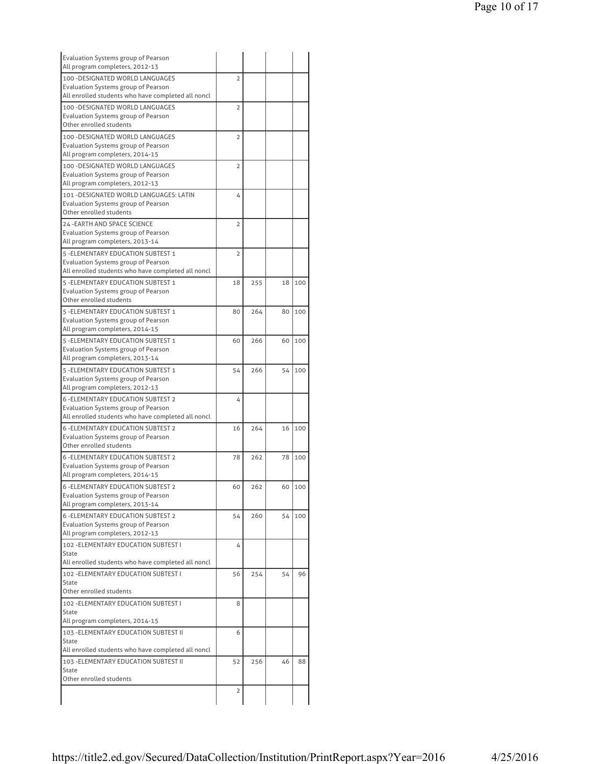| <b>Evaluation Systems group of Pearson</b><br>All program completers, 2012-13                                                          |                |     |    |        |
|----------------------------------------------------------------------------------------------------------------------------------------|----------------|-----|----|--------|
| 100 - DESIGNATED WORLD LANGUAGES                                                                                                       | $\overline{2}$ |     |    |        |
| <b>Evaluation Systems group of Pearson</b><br>All enrolled students who have completed all noncl                                       |                |     |    |        |
| 100 - DESIGNATED WORLD LANGUAGES<br>Evaluation Systems group of Pearson                                                                | $\overline{2}$ |     |    |        |
| Other enrolled students                                                                                                                |                |     |    |        |
| 100 - DESIGNATED WORLD LANGUAGES<br>Evaluation Systems group of Pearson                                                                | $\overline{2}$ |     |    |        |
| All program completers, 2014-15                                                                                                        |                |     |    |        |
| 100 - DESIGNATED WORLD LANGUAGES<br>Evaluation Systems group of Pearson<br>All program completers, 2012-13                             | $\overline{2}$ |     |    |        |
|                                                                                                                                        |                |     |    |        |
| 101 - DESIGNATED WORLD LANGUAGES: LATIN<br>Evaluation Systems group of Pearson<br>Other enrolled students                              | 4              |     |    |        |
| 24 - EARTH AND SPACE SCIENCE                                                                                                           | $\overline{2}$ |     |    |        |
| Evaluation Systems group of Pearson<br>All program completers, 2013-14                                                                 |                |     |    |        |
| 5 - ELEMENTARY EDUCATION SUBTEST 1<br>Evaluation Systems group of Pearson                                                              | $\overline{2}$ |     |    |        |
| All enrolled students who have completed all noncl                                                                                     |                |     |    |        |
| 5 - ELEMENTARY EDUCATION SUBTEST 1                                                                                                     | 18             | 255 | 18 | 100    |
| Evaluation Systems group of Pearson<br>Other enrolled students                                                                         |                |     |    |        |
| 5 - ELEMENTARY EDUCATION SUBTEST 1                                                                                                     | 80             | 264 | 80 | 100    |
| Evaluation Systems group of Pearson<br>All program completers, 2014-15                                                                 |                |     |    |        |
| 5 - ELEMENTARY EDUCATION SUBTEST 1                                                                                                     | 60             | 266 | 60 | 100    |
| Evaluation Systems group of Pearson                                                                                                    |                |     |    |        |
| All program completers, 2013-14                                                                                                        |                |     |    |        |
| 5 - ELEMENTARY EDUCATION SUBTEST 1<br>Evaluation Systems group of Pearson<br>All program completers, 2012-13                           | 54             | 266 | 54 | 100    |
| <b>6 - ELEMENTARY EDUCATION SUBTEST 2</b>                                                                                              |                |     |    |        |
| Evaluation Systems group of Pearson                                                                                                    | 4              |     |    |        |
| All enrolled students who have completed all noncl                                                                                     |                |     |    |        |
| <b>6 - ELEMENTARY EDUCATION SUBTEST 2</b>                                                                                              | 16             | 264 | 16 | 100    |
| <b>Evaluation Systems group of Pearson</b>                                                                                             |                |     |    |        |
| Other enrolled students                                                                                                                |                |     |    |        |
| <b>6-FLEMENTARY EDUCATION SURTEST 2</b><br>Evaluation Systems group of Pearson                                                         | 78             | 262 | 78 | 100    |
| All program completers, 2014-15                                                                                                        |                |     |    |        |
| <b>6 - ELEMENTARY EDUCATION SUBTEST 2</b><br><b>Evaluation Systems group of Pearson</b><br>All program completers, 2013-14             | 60             | 262 |    | 60 100 |
| <b>6 - ELEMENTARY EDUCATION SUBTEST 2</b>                                                                                              | 54             | 260 | 54 | 100    |
| <b>Evaluation Systems group of Pearson</b><br>All program completers, 2012-13                                                          |                |     |    |        |
| 102 - ELEMENTARY EDUCATION SUBTEST I                                                                                                   | 4              |     |    |        |
| <b>State</b><br>All enrolled students who have completed all noncl                                                                     |                |     |    |        |
| 102 - ELEMENTARY EDUCATION SUBTEST I                                                                                                   | 56             | 254 | 54 | 96     |
| State<br>Other enrolled students                                                                                                       |                |     |    |        |
| 102 - ELEMENTARY EDUCATION SUBTEST I<br><b>State</b>                                                                                   | 8              |     |    |        |
| All program completers, 2014-15                                                                                                        |                |     |    |        |
| 103 - ELEMENTARY EDUCATION SUBTEST II<br><b>State</b>                                                                                  | 6              |     |    |        |
|                                                                                                                                        |                |     |    |        |
|                                                                                                                                        |                |     |    | 88     |
|                                                                                                                                        | 52             | 256 | 46 |        |
| All enrolled students who have completed all noncl<br>103 - ELEMENTARY EDUCATION SUBTEST II<br><b>State</b><br>Other enrolled students |                |     |    |        |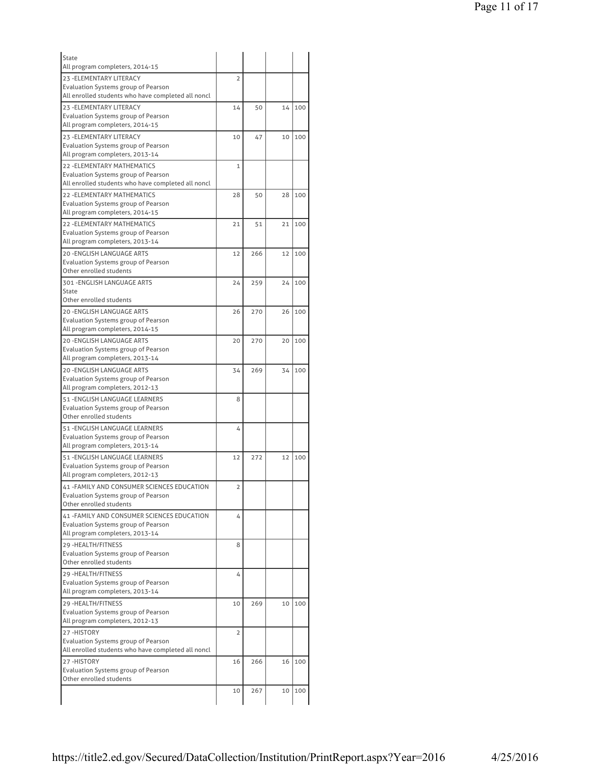| State                                                                                            |                |     |    |     |
|--------------------------------------------------------------------------------------------------|----------------|-----|----|-----|
| All program completers, 2014-15                                                                  |                |     |    |     |
| 23 - ELEMENTARY LITERACY                                                                         | $\overline{2}$ |     |    |     |
| <b>Evaluation Systems group of Pearson</b><br>All enrolled students who have completed all noncl |                |     |    |     |
| 23 - ELEMENTARY LITERACY                                                                         | 14             | 50  | 14 | 100 |
| <b>Evaluation Systems group of Pearson</b>                                                       |                |     |    |     |
| All program completers, 2014-15                                                                  |                |     |    |     |
| 23 - ELEMENTARY LITERACY                                                                         | 10             | 47  | 10 | 100 |
| Evaluation Systems group of Pearson                                                              |                |     |    |     |
| All program completers, 2013-14                                                                  |                |     |    |     |
| <b>22 - ELEMENTARY MATHEMATICS</b>                                                               | $\mathbf{1}$   |     |    |     |
| Evaluation Systems group of Pearson<br>All enrolled students who have completed all noncl        |                |     |    |     |
| 22 - ELEMENTARY MATHEMATICS                                                                      | 28             | 50  | 28 | 100 |
| Evaluation Systems group of Pearson                                                              |                |     |    |     |
| All program completers, 2014-15                                                                  |                |     |    |     |
| <b>22 - ELEMENTARY MATHEMATICS</b>                                                               | 21             | 51  | 21 | 100 |
| Evaluation Systems group of Pearson                                                              |                |     |    |     |
| All program completers, 2013-14                                                                  |                |     |    |     |
| 20 - ENGLISH LANGUAGE ARTS                                                                       | 12             | 266 | 12 | 100 |
| Evaluation Systems group of Pearson<br>Other enrolled students                                   |                |     |    |     |
| 301 - ENGLISH LANGUAGE ARTS                                                                      | 24             | 259 | 24 | 100 |
| State                                                                                            |                |     |    |     |
| Other enrolled students                                                                          |                |     |    |     |
| <b>20 -ENGLISH LANGUAGE ARTS</b>                                                                 | 26             | 270 | 26 | 100 |
| Evaluation Systems group of Pearson                                                              |                |     |    |     |
| All program completers, 2014-15                                                                  |                |     |    |     |
| <b>20 -ENGLISH LANGUAGE ARTS</b>                                                                 | 20             | 270 | 20 | 100 |
| Evaluation Systems group of Pearson<br>All program completers, 2013-14                           |                |     |    |     |
| 20 - ENGLISH LANGUAGE ARTS                                                                       | 34             | 269 | 34 | 100 |
| Evaluation Systems group of Pearson                                                              |                |     |    |     |
| All program completers, 2012-13                                                                  |                |     |    |     |
| 51 - ENGLISH LANGUAGE LEARNERS                                                                   | 8              |     |    |     |
| Evaluation Systems group of Pearson                                                              |                |     |    |     |
| Other enrolled students                                                                          |                |     |    |     |
| 51 - ENGLISH LANGUAGE LEARNERS<br>Evaluation Systems group of Pearson                            | 4              |     |    |     |
| All program completers, 2013-14                                                                  |                |     |    |     |
| 51 - ENGLISH LANGUAGE LEARNERS                                                                   | 12             | 272 | 12 | 100 |
| Evaluation Systems group of Pearson                                                              |                |     |    |     |
| All program completers, 2012-13                                                                  |                |     |    |     |
| 41 - FAMILY AND CONSUMER SCIENCES EDUCATION                                                      | 2              |     |    |     |
| Evaluation Systems group of Pearson<br>Other enrolled students                                   |                |     |    |     |
|                                                                                                  |                |     |    |     |
| 41 - FAMILY AND CONSUMER SCIENCES EDUCATION<br>Evaluation Systems group of Pearson               | 4              |     |    |     |
| All program completers, 2013-14                                                                  |                |     |    |     |
| 29 - HEALTH/FITNESS                                                                              | 8              |     |    |     |
| Evaluation Systems group of Pearson                                                              |                |     |    |     |
| Other enrolled students                                                                          |                |     |    |     |
| 29 - HEALTH/FITNESS                                                                              | 4              |     |    |     |
| Evaluation Systems group of Pearson<br>All program completers, 2013-14                           |                |     |    |     |
| 29 - HEALTH/FITNESS                                                                              | 10             |     | 10 | 100 |
| Evaluation Systems group of Pearson                                                              |                | 269 |    |     |
| All program completers, 2012-13                                                                  |                |     |    |     |
| 27-HISTORY                                                                                       | 2              |     |    |     |
| Evaluation Systems group of Pearson                                                              |                |     |    |     |
| All enrolled students who have completed all noncl                                               |                |     |    |     |
| 27-HISTORY                                                                                       | 16             | 266 | 16 | 100 |
| Evaluation Systems group of Pearson<br>Other enrolled students                                   |                |     |    |     |
|                                                                                                  | 10             | 267 | 10 | 100 |
|                                                                                                  |                |     |    |     |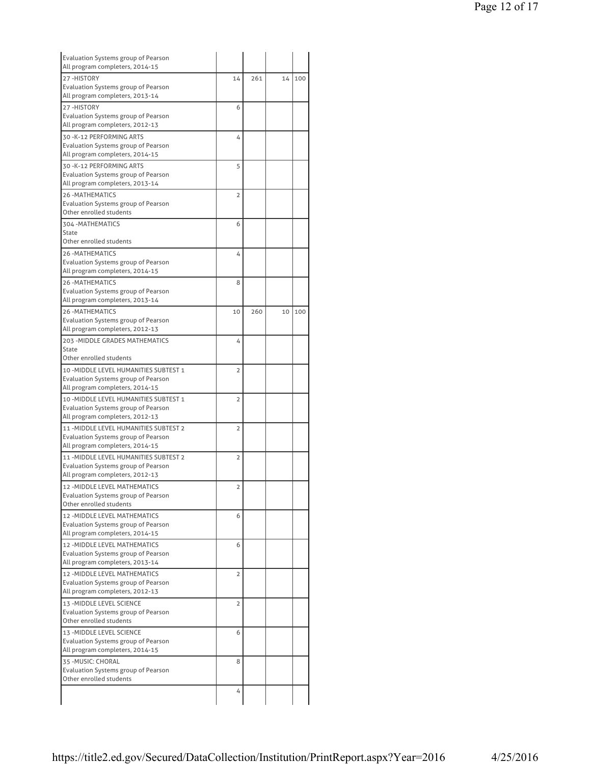| Evaluation Systems group of Pearson<br>All program completers, 2014-15 |                |     |    |     |
|------------------------------------------------------------------------|----------------|-----|----|-----|
| 27-HISTORY                                                             | 14             | 261 | 14 | 100 |
| Evaluation Systems group of Pearson                                    |                |     |    |     |
| All program completers, 2013-14                                        |                |     |    |     |
| 27-HISTORY                                                             | 6              |     |    |     |
| Evaluation Systems group of Pearson                                    |                |     |    |     |
| All program completers, 2012-13                                        |                |     |    |     |
| 30 - K-12 PERFORMING ARTS                                              |                |     |    |     |
| Evaluation Systems group of Pearson                                    | 4              |     |    |     |
| All program completers, 2014-15                                        |                |     |    |     |
| 30 - K-12 PERFORMING ARTS                                              |                |     |    |     |
| Evaluation Systems group of Pearson                                    | 5              |     |    |     |
| All program completers, 2013-14                                        |                |     |    |     |
| <b>26 - MATHEMATICS</b>                                                |                |     |    |     |
| Evaluation Systems group of Pearson                                    | 2              |     |    |     |
| Other enrolled students                                                |                |     |    |     |
| 304 - MATHEMATICS                                                      | 6              |     |    |     |
| State                                                                  |                |     |    |     |
| Other enrolled students                                                |                |     |    |     |
| <b>26-MATHEMATICS</b>                                                  |                |     |    |     |
| Evaluation Systems group of Pearson                                    | 4              |     |    |     |
| All program completers, 2014-15                                        |                |     |    |     |
| <b>26-MATHEMATICS</b>                                                  | 8              |     |    |     |
| Evaluation Systems group of Pearson                                    |                |     |    |     |
| All program completers, 2013-14                                        |                |     |    |     |
| <b>26 - MATHEMATICS</b>                                                | 10             | 260 | 10 | 100 |
| Evaluation Systems group of Pearson                                    |                |     |    |     |
| All program completers, 2012-13                                        |                |     |    |     |
| 203 - MIDDLE GRADES MATHEMATICS                                        | 4              |     |    |     |
| <b>State</b>                                                           |                |     |    |     |
| Other enrolled students                                                |                |     |    |     |
| 10 - MIDDLE LEVEL HUMANITIES SUBTEST 1                                 | 2              |     |    |     |
| Evaluation Systems group of Pearson                                    |                |     |    |     |
| All program completers, 2014-15                                        |                |     |    |     |
| 10 - MIDDLE LEVEL HUMANITIES SUBTEST 1                                 | 2              |     |    |     |
| Evaluation Systems group of Pearson                                    |                |     |    |     |
| All program completers, 2012-13                                        |                |     |    |     |
| 11 - MIDDLE LEVEL HUMANITIES SUBTEST 2                                 | $\overline{2}$ |     |    |     |
| Evaluation Systems group of Pearson                                    |                |     |    |     |
| All program completers, 2014-15                                        |                |     |    |     |
| 11 - MIDDLE LEVEL HUMANITIES SUBTEST 2                                 | $\overline{2}$ |     |    |     |
| <b>Evaluation Systems group of Pearson</b>                             |                |     |    |     |
| All program completers, 2012-13                                        |                |     |    |     |
| 12 - MIDDLE LEVEL MATHEMATICS                                          | 2              |     |    |     |
| Evaluation Systems group of Pearson                                    |                |     |    |     |
| Other enrolled students                                                |                |     |    |     |
| <b>12 - MIDDLE LEVEL MATHEMATICS</b>                                   | 6              |     |    |     |
| Evaluation Systems group of Pearson                                    |                |     |    |     |
| All program completers, 2014-15                                        |                |     |    |     |
| 12 - MIDDLE LEVEL MATHEMATICS                                          | 6              |     |    |     |
| <b>Evaluation Systems group of Pearson</b>                             |                |     |    |     |
| All program completers, 2013-14                                        |                |     |    |     |
| 12 - MIDDLE LEVEL MATHEMATICS                                          | 2              |     |    |     |
| Evaluation Systems group of Pearson                                    |                |     |    |     |
| All program completers, 2012-13                                        |                |     |    |     |
| 13 - MIDDLE LEVEL SCIENCE                                              | 2              |     |    |     |
| Evaluation Systems group of Pearson                                    |                |     |    |     |
| Other enrolled students                                                |                |     |    |     |
| 13 - MIDDLE LEVEL SCIENCE                                              | 6              |     |    |     |
| Evaluation Systems group of Pearson                                    |                |     |    |     |
|                                                                        |                |     |    |     |
| All program completers, 2014-15                                        |                |     |    |     |
| 35 - MUSIC: CHORAL                                                     | 8              |     |    |     |
| Evaluation Systems group of Pearson                                    |                |     |    |     |
| Other enrolled students                                                |                |     |    |     |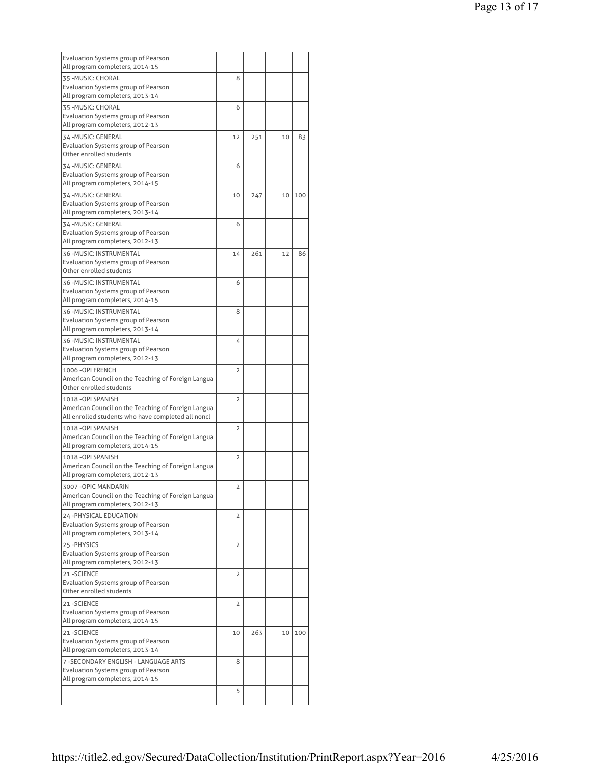| <b>Evaluation Systems group of Pearson</b><br>All program completers, 2014-15 |                |     |    |     |
|-------------------------------------------------------------------------------|----------------|-----|----|-----|
| 35 - MUSIC: CHORAL                                                            | 8              |     |    |     |
| <b>Evaluation Systems group of Pearson</b><br>All program completers, 2013-14 |                |     |    |     |
| 35 - MUSIC: CHORAL                                                            | 6              |     |    |     |
| <b>Evaluation Systems group of Pearson</b>                                    |                |     |    |     |
| All program completers, 2012-13                                               |                |     |    |     |
| 34-MUSIC: GENERAL                                                             | 12             | 251 | 10 | 83  |
| Evaluation Systems group of Pearson                                           |                |     |    |     |
| Other enrolled students                                                       |                |     |    |     |
| 34 - MUSIC: GENERAL                                                           | 6              |     |    |     |
| Evaluation Systems group of Pearson                                           |                |     |    |     |
| All program completers, 2014-15                                               |                |     |    |     |
| 34-MUSIC: GENERAL                                                             | 10             | 247 | 10 | 100 |
| Evaluation Systems group of Pearson                                           |                |     |    |     |
| All program completers, 2013-14                                               |                |     |    |     |
| 34 - MUSIC: GENERAL                                                           | 6              |     |    |     |
| Evaluation Systems group of Pearson                                           |                |     |    |     |
| All program completers, 2012-13                                               |                |     |    |     |
| 36 - MUSIC: INSTRUMENTAL                                                      | 14             | 261 | 12 | 86  |
| Evaluation Systems group of Pearson                                           |                |     |    |     |
| Other enrolled students                                                       |                |     |    |     |
| 36 - MUSIC: INSTRUMENTAL                                                      | 6              |     |    |     |
| Evaluation Systems group of Pearson                                           |                |     |    |     |
| All program completers, 2014-15                                               |                |     |    |     |
| 36 - MUSIC: INSTRUMENTAL                                                      | 8              |     |    |     |
| Evaluation Systems group of Pearson                                           |                |     |    |     |
| All program completers, 2013-14                                               |                |     |    |     |
| 36 - MUSIC: INSTRUMENTAL                                                      | 4              |     |    |     |
| Evaluation Systems group of Pearson                                           |                |     |    |     |
| All program completers, 2012-13                                               |                |     |    |     |
| 1006 - OPI FRENCH                                                             | $\overline{2}$ |     |    |     |
| American Council on the Teaching of Foreign Langua                            |                |     |    |     |
| Other enrolled students                                                       |                |     |    |     |
| 1018-OPI SPANISH                                                              | $\overline{2}$ |     |    |     |
| American Council on the Teaching of Foreign Langua                            |                |     |    |     |
| All enrolled students who have completed all noncl                            |                |     |    |     |
| 1018 - OPI SPANISH                                                            | $\overline{2}$ |     |    |     |
| American Council on the Teaching of Foreign Langua                            |                |     |    |     |
| All program completers, 2014-15                                               |                |     |    |     |
| 1018 - OPI SPANISH                                                            | $\overline{2}$ |     |    |     |
| American Council on the Teaching of Foreign Langua                            |                |     |    |     |
| All program completers, 2012-13                                               |                |     |    |     |
| 3007 -OPIC MANDARIN                                                           | 2              |     |    |     |
| American Council on the Teaching of Foreign Langua                            |                |     |    |     |
| All program completers, 2012-13                                               |                |     |    |     |
| 24 - PHYSICAL EDUCATION                                                       | 2              |     |    |     |
| Evaluation Systems group of Pearson                                           |                |     |    |     |
| All program completers, 2013-14                                               |                |     |    |     |
| 25-PHYSICS                                                                    | 2              |     |    |     |
| Evaluation Systems group of Pearson                                           |                |     |    |     |
| All program completers, 2012-13                                               |                |     |    |     |
| 21-SCIENCE                                                                    |                |     |    |     |
| <b>Evaluation Systems group of Pearson</b>                                    | 2              |     |    |     |
| Other enrolled students                                                       |                |     |    |     |
| 21-SCIENCE                                                                    |                |     |    |     |
| Evaluation Systems group of Pearson                                           | 2              |     |    |     |
| All program completers, 2014-15                                               |                |     |    |     |
|                                                                               |                |     |    |     |
| 21-SCIENCE                                                                    | 10             | 263 | 10 | 100 |
| Evaluation Systems group of Pearson<br>All program completers, 2013-14        |                |     |    |     |
|                                                                               |                |     |    |     |
|                                                                               |                |     |    |     |
| 7 - SECONDARY ENGLISH - LANGUAGE ARTS                                         | 8              |     |    |     |
| Evaluation Systems group of Pearson                                           |                |     |    |     |
| All program completers, 2014-15                                               | 5              |     |    |     |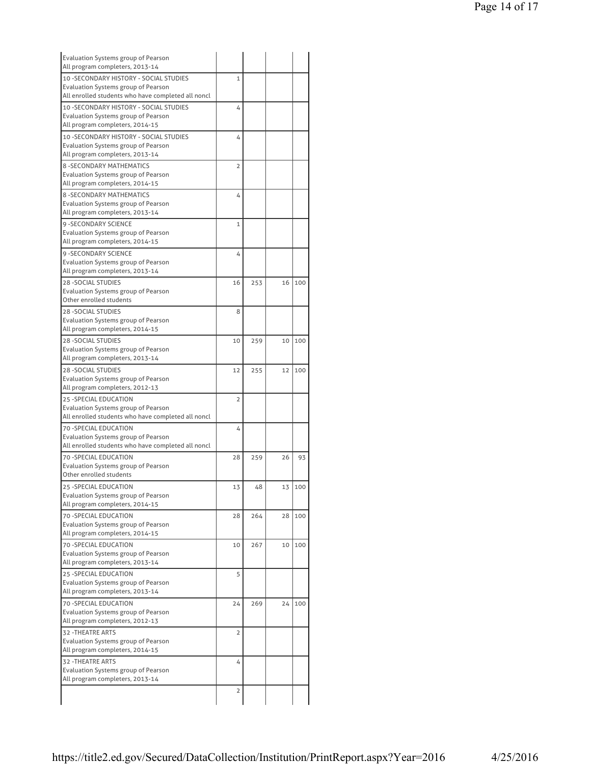| Evaluation Systems group of Pearson<br>All program completers, 2013-14                      |                |     |    |     |
|---------------------------------------------------------------------------------------------|----------------|-----|----|-----|
| 10 - SECONDARY HISTORY - SOCIAL STUDIES                                                     | $\mathbf{1}$   |     |    |     |
| Evaluation Systems group of Pearson<br>All enrolled students who have completed all noncl   |                |     |    |     |
| 10 - SECONDARY HISTORY - SOCIAL STUDIES                                                     | 4              |     |    |     |
| <b>Evaluation Systems group of Pearson</b>                                                  |                |     |    |     |
| All program completers, 2014-15                                                             |                |     |    |     |
| 10 - SECONDARY HISTORY - SOCIAL STUDIES<br>Evaluation Systems group of Pearson              | 4              |     |    |     |
| All program completers, 2013-14                                                             |                |     |    |     |
| <b>8 - SECONDARY MATHEMATICS</b><br><b>Evaluation Systems group of Pearson</b>              | $\overline{2}$ |     |    |     |
| All program completers, 2014-15                                                             |                |     |    |     |
| <b>8 - SECONDARY MATHEMATICS</b><br>Evaluation Systems group of Pearson                     | 4              |     |    |     |
| All program completers, 2013-14                                                             |                |     |    |     |
| 9 - SECONDARY SCIENCE<br>Evaluation Systems group of Pearson                                | $\mathbf{1}$   |     |    |     |
| All program completers, 2014-15                                                             |                |     |    |     |
| 9 - SECONDARY SCIENCE<br>Evaluation Systems group of Pearson                                | 4              |     |    |     |
| All program completers, 2013-14                                                             |                |     |    |     |
| <b>28 - SOCIAL STUDIES</b><br>Evaluation Systems group of Pearson                           | 16             | 253 | 16 | 100 |
| Other enrolled students                                                                     |                |     |    |     |
| <b>28 - SOCIAL STUDIES</b><br>Evaluation Systems group of Pearson                           | 8              |     |    |     |
| All program completers, 2014-15                                                             |                |     |    |     |
| <b>28-SOCIAL STUDIES</b><br>Evaluation Systems group of Pearson                             | 10             | 259 | 10 | 100 |
| All program completers, 2013-14                                                             |                |     |    |     |
| <b>28 - SOCIAL STUDIES</b>                                                                  | 12             | 255 | 12 | 100 |
| Evaluation Systems group of Pearson                                                         |                |     |    |     |
| All program completers, 2012-13                                                             |                |     |    |     |
| 25 - SPECIAL EDUCATION<br>Evaluation Systems group of Pearson                               | $\overline{2}$ |     |    |     |
| All enrolled students who have completed all noncl                                          |                |     |    |     |
| <b>70 -SPECIAL EDUCATION</b>                                                                | 4              |     |    |     |
| Evaluation Systems group of Pearson                                                         |                |     |    |     |
| All enrolled students who have completed all noncl                                          |                |     |    |     |
| <b>70 - SPECIAL EDUCATION</b>                                                               | 28             | 259 | 26 | 93  |
| Evaluation Systems group of Pearson<br>Other enrolled students                              |                |     |    |     |
| 25 -SPECIAL EDUCATION                                                                       | 13             | 48  | 13 | 100 |
| Evaluation Systems group of Pearson<br>All program completers, 2014-15                      |                |     |    |     |
| 70 - SPECIAL EDUCATION                                                                      | 28             | 264 | 28 | 100 |
| Evaluation Systems group of Pearson<br>All program completers, 2014-15                      |                |     |    |     |
| 70 - SPECIAL EDUCATION                                                                      | 10             | 267 | 10 | 100 |
| Evaluation Systems group of Pearson                                                         |                |     |    |     |
| All program completers, 2013-14                                                             |                |     |    |     |
| <b>25 -SPECIAL EDUCATION</b>                                                                | 5              |     |    |     |
| Evaluation Systems group of Pearson<br>All program completers, 2013-14                      |                |     |    |     |
| 70 - SPECIAL EDUCATION                                                                      | 24             | 269 | 24 | 100 |
| Evaluation Systems group of Pearson                                                         |                |     |    |     |
| All program completers, 2012-13                                                             |                |     |    |     |
| 32 - THEATRE ARTS                                                                           | 2              |     |    |     |
| Evaluation Systems group of Pearson<br>All program completers, 2014-15                      |                |     |    |     |
|                                                                                             |                |     |    |     |
|                                                                                             |                |     |    |     |
|                                                                                             | 4              |     |    |     |
| 32 - THEATRE ARTS<br>Evaluation Systems group of Pearson<br>All program completers, 2013-14 | 2              |     |    |     |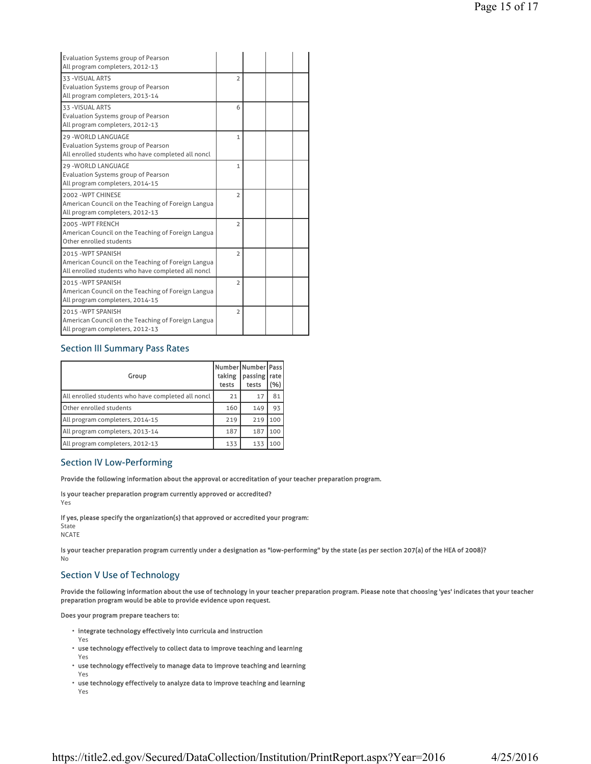| Evaluation Systems group of Pearson<br>All program completers, 2012-13                                                         |                |  |  |
|--------------------------------------------------------------------------------------------------------------------------------|----------------|--|--|
| 33 - VISUAL ARTS<br><b>Evaluation Systems group of Pearson</b><br>All program completers, 2013-14                              | $\overline{2}$ |  |  |
| 33 - VISUAL ARTS<br><b>Evaluation Systems group of Pearson</b><br>All program completers, 2012-13                              | 6              |  |  |
| 29 - WORLD LANGUAGE<br>Evaluation Systems group of Pearson<br>All enrolled students who have completed all noncl               | $\mathbf{1}$   |  |  |
| <b>29 - WORLD LANGUAGE</b><br><b>Evaluation Systems group of Pearson</b><br>All program completers, 2014-15                    | 1              |  |  |
| 2002 - WPT CHINESE<br>American Council on the Teaching of Foreign Langua<br>All program completers, 2012-13                    | $\overline{2}$ |  |  |
| 2005 - WPT FRENCH<br>American Council on the Teaching of Foreign Langua<br>Other enrolled students                             | $\overline{2}$ |  |  |
| 2015 - WPT SPANISH<br>American Council on the Teaching of Foreign Langua<br>All enrolled students who have completed all noncl | $\overline{2}$ |  |  |
| 2015 - WPT SPANISH<br>American Council on the Teaching of Foreign Langua<br>All program completers, 2014-15                    | $\overline{2}$ |  |  |
| 2015 - WPT SPANISH<br>American Council on the Teaching of Foreign Langua<br>All program completers, 2012-13                    | $\overline{2}$ |  |  |

## Section III Summary Pass Rates

| Group                                              | Number Number Pass <br>taking<br>tests | passing<br>tests | rate<br>'%) |
|----------------------------------------------------|----------------------------------------|------------------|-------------|
| All enrolled students who have completed all noncl | 21                                     | 17               | 81          |
| Other enrolled students                            | 160                                    | 149              | 93          |
| All program completers, 2014-15                    | 219                                    | 219              | 100         |
| All program completers, 2013-14                    | 187                                    | 187              | 100         |
| All program completers, 2012-13                    | 133                                    | 133              | 100         |

## Section IV Low-Performing

Provide the following information about the approval or accreditation of your teacher preparation program.

Is your teacher preparation program currently approved or accredited?

Yes

If yes, please specify the organization(s) that approved or accredited your program: State NCATE

Is your teacher preparation program currently under a designation as "low-performing" by the state (as per section 207(a) of the HEA of 2008)? No

## Section V Use of Technology

Provide the following information about the use of technology in your teacher preparation program. Please note that choosing 'yes' indicates that your teacher preparation program would be able to provide evidence upon request.

Does your program prepare teachers to:

- integrate technology effectively into curricula and instruction
- Yes
- use technology effectively to collect data to improve teaching and learning
- Yes
- use technology effectively to manage data to improve teaching and learning Yes
- use technology effectively to analyze data to improve teaching and learning Yes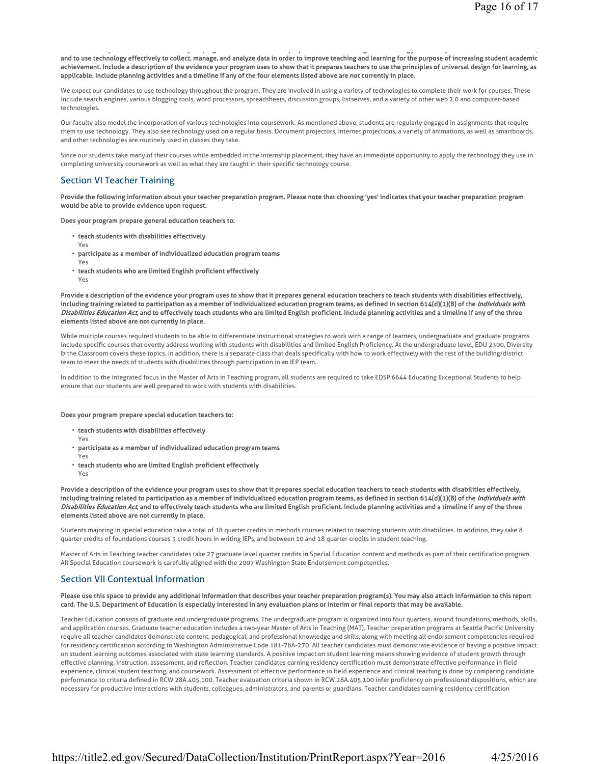### and to use technology effectively to collect, manage, and analyze data in order to improve teaching and learning for the purpose of increasing student academic achievement. Include a description of the evidence your program uses to show that it prepares teachers to use the principles of universal design for learning, as applicable. Include planning activities and a timeline if any of the four elements listed above are not currently in place.

p y p g p p g gy y ,

We expect our candidates to use technology throughout the program. They are involved in using a variety of technologies to complete their work for courses. These include search engines, various blogging tools, word processors, spreadsheets, discussion groups, listserves, and a variety of other web 2.0 and computer-based technologies.

Our faculty also model the incorporation of various technologies into coursework. As mentioned above, students are regularly engaged in assignments that require them to use technology. They also see technology used on a regular basis. Document projectors, Internet projections, a variety of animations, as well as smartboards, and other technologies are routinely used in classes they take.

Since our students take many of their courses while embedded in the internship placement, they have an immediate opportunity to apply the technology they use in completing university coursework as well as what they are taught in their specific technology course.

## Section VI Teacher Training

Provide the following information about your teacher preparation program. Please note that choosing 'yes' indicates that your teacher preparation program would be able to provide evidence upon request.

#### Does your program prepare general education teachers to:

- teach students with disabilities effectively
- Yes
- participate as a member of individualized education program teams
- Yes
- teach students who are limited English proficient effectively
- Yes

Provide a description of the evidence your program uses to show that it prepares general education teachers to teach students with disabilities effectively, including training related to participation as a member of individualized education program teams, as defined in section 614(d)(1)(B) of the *Individuals with* Disabilities Education Act, and to effectively teach students who are limited English proficient. Include planning activities and a timeline if any of the three elements listed above are not currently in place.

While multiple courses required students to be able to differentiate instructional strategies to work with a range of learners, undergraduate and graduate programs include specific courses that overtly address working with students with disabilities and limited English Proficiency. At the undergraduate level, EDU 2300, Diversity & the Classroom covers these topics. In addition, there is a separate class that deals specifically with how to work effectively with the rest of the building/district team to meet the needs of students with disabilities through participation in an IEP team.

In addition to the integrated focus in the Master of Arts in Teaching program, all students are required to take EDSP 6644 Educating Exceptional Students to help ensure that our students are well prepared to work with students with disabilities.

#### Does your program prepare special education teachers to:

- teach students with disabilities effectively
- Yes
- participate as a member of individualized education program teams
- Yes
- teach students who are limited English proficient effectively
- Yes

Provide a description of the evidence your program uses to show that it prepares special education teachers to teach students with disabilities effectively, including training related to participation as a member of individualized education program teams, as defined in section 614(d)(1)(B) of the Individuals with Disabilities Education Act, and to effectively teach students who are limited English proficient. Include planning activities and a timeline if any of the three elements listed above are not currently in place.

Students majoring in special education take a total of 18 quarter credits in methods courses related to teaching students with disabilities. In addition, they take 8 quarter credits of foundations courses 3 credit hours in writing IEPs, and between 10 and 18 quarter credits in student teaching.

Master of Arts in Teaching teacher candidates take 27 graduate level quarter credits in Special Education content and methods as part of their certification program. All Special Education coursework is carefully aligned with the 2007 Washington State Endorsement competencies.

## Section VII Contextual Information

#### Please use this space to provide any additional information that describes your teacher preparation program(s). You may also attach information to this report card. The U.S. Department of Education is especially interested in any evaluation plans or interim or final reports that may be available.

Teacher Education consists of graduate and undergraduate programs. The undergraduate program is organized into four quarters, around foundations, methods, skills, and application courses. Graduate teacher education includes a two-year Master of Arts in Teaching (MAT). Teacher preparation programs at Seattle Pacific University require all teacher candidates demonstrate content, pedagogical, and professional knowledge and skills, along with meeting all endorsement competencies required for residency certification according to Washington Administrative Code 181-78A-270. All teacher candidates must demonstrate evidence of having a positive impact on student learning outcomes associated with state learning standards. A positive impact on student learning means showing evidence of student growth through effective planning, instruction, assessment, and reflection. Teacher candidates earning residency certification must demonstrate effective performance in field experience, clinical student teaching, and coursework. Assessment of effective performance in field experience and clinical teaching is done by comparing candidate performance to criteria defined in RCW 28A.405.100. Teacher evaluation criteria shown in RCW 28A.405.100 infer proficiency on professional dispositions, which are necessary for productive interactions with students, colleagues, administrators, and parents or guardians. Teacher candidates earning residency certification